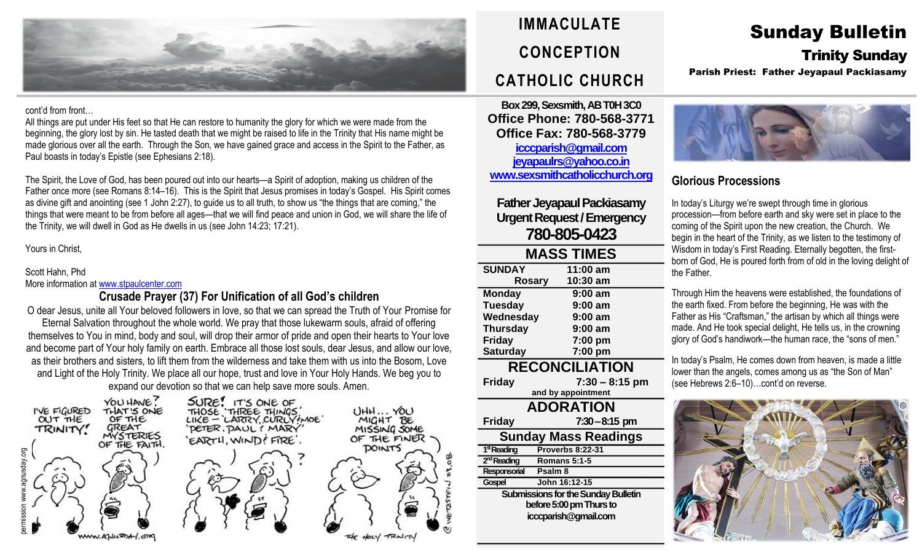

#### cont'd from front…

All things are put under His feet so that He can restore to humanity the glory for which we were made from the beginning, the glory lost by sin. He tasted death that we might be raised to life in the Trinity that His name might be made glorious over all the earth. Through the Son, we have gained grace and access in the Spirit to the Father, as Paul boasts in today's Epistle (see Ephesians 2:18).

The Spirit, the Love of God, has been poured out into our hearts—a Spirit of adoption, making us children of the Father once more (see Romans 8:14–16). This is the Spirit that Jesus promises in today's Gospel. His Spirit comes as divine gift and anointing (see 1 John 2:27), to guide us to all truth, to show us "the things that are coming," the things that were meant to be from before all ages—that we will find peace and union in God, we will share the life of the Trinity, we will dwell in God as He dwells in us (see John 14:23; 17:21).

## Yours in Christ,

## Scott Hahn, Phd

More information at [www.stpaulcenter.com](http://www.stpaulcenter.com/)

# **Crusade Prayer (37) For Unification of all God's children**

O dear Jesus, unite all Your beloved followers in love, so that we can spread the Truth of Your Promise for Eternal Salvation throughout the whole world. We pray that those lukewarm souls, afraid of offering themselves to You in mind, body and soul, will drop their armor of pride and open their hearts to Your love and become part of Your holy family on earth. Embrace all those lost souls, dear Jesus, and allow our love, as their brothers and sisters, to lift them from the wilderness and take them with us into the Bosom, Love and Light of the Holy Trinity. We place all our hope, trust and love in Your Holy Hands. We beg you to expand our devotion so that we can help save more souls. Amen.





**Box 299, Sexsmith, AB T0H 3C0 Office Phone: 780-568-3771 Office Fax: 780-568-3779 [icccparish@gmail.com](mailto:icccparish@gmail.com) [jeyapaulrs@yahoo.co.in](mailto:jeyapaulrs@yahoo.co.in) [www.sexsmithcatholicchurch.org](http://www.sexsmithcatholicchurch.org/)**

# **Father Jeyapaul Packiasamy Urgent Request/Emergency 780-805-0423**

| <b>MASS TIMES</b>     |                  |  |  |  |
|-----------------------|------------------|--|--|--|
| <b>SUNDAY</b>         | 11:00 am         |  |  |  |
| <b>Rosary</b>         | 10:30 am         |  |  |  |
| <b>Monday</b>         | $9:00$ am        |  |  |  |
| <b>Tuesday</b>        | $9:00$ am        |  |  |  |
| Wednesday             | $9:00$ am        |  |  |  |
| <b>Thursday</b>       | $9:00$ am        |  |  |  |
| <b>Friday</b>         | 7:00 pm          |  |  |  |
| <b>Saturday</b>       | 7:00 pm          |  |  |  |
| <b>RECONCILIATION</b> |                  |  |  |  |
| <b>Friday</b>         | $7:30 - 8:15$ pm |  |  |  |
| and by appointment    |                  |  |  |  |
| <b>ADORATION</b>      |                  |  |  |  |

**ADORATION Friday 7:30–8:15 pm Sunday Mass Readings** 1<sup>st</sup> Reading **stReading Proverbs 8:22-31** 2<sup>rd</sup> Reading **ndReading Romans 5:1-5 Responsorial Psalm 8 Gospel John 16:12-15 Submissions for the Sunday Bulletin before 5:00 pm Thursto icccparish@gmail.com**

# Sunday Bulletin Trinity Sunday

Parish Priest: Father Jeyapaul Packiasamy



# **Glorious Processions**

In today's Liturgy we're swept through time in glorious procession—from before earth and sky were set in place to the coming of the Spirit upon the new creation, the Church. We begin in the heart of the Trinity, as we listen to the testimony of Wisdom in today's First Reading. Eternally begotten, the firstborn of God, He is poured forth from of old in the loving delight of the Father.

Through Him the heavens were established, the foundations of the earth fixed. From before the beginning, He was with the Father as His "Craftsman," the artisan by which all things were made. And He took special delight, He tells us, in the crowning glory of God's handiwork—the human race, the "sons of men."

In today's Psalm, He comes down from heaven, is made a little lower than the angels, comes among us as "the Son of Man" (see Hebrews 2:6–10)…cont'd on reverse.